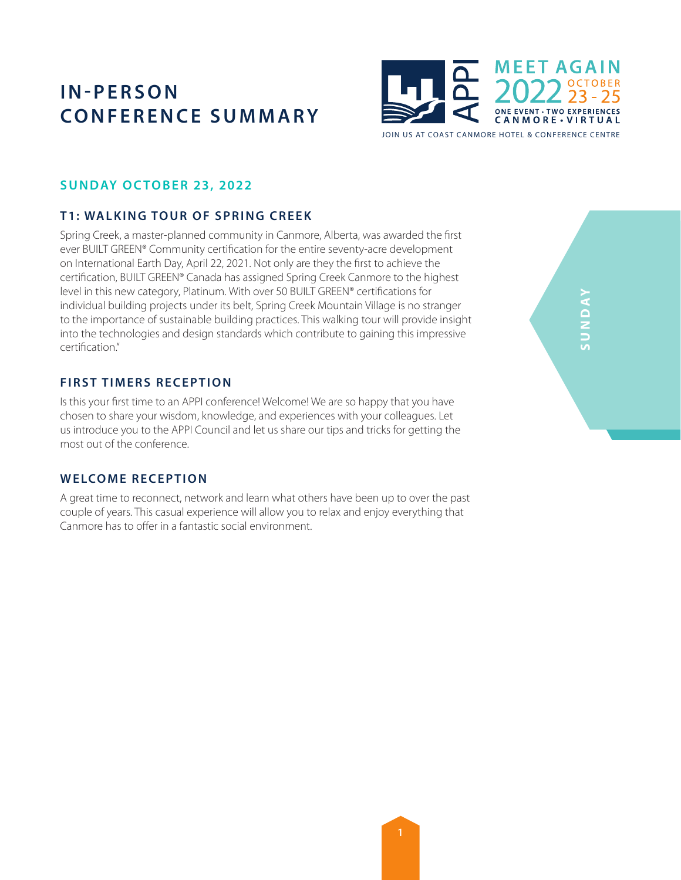

## **SUNDAY OCTOBER 23, 2022**

## **T1: WALKING TOUR OF SPRING CREEK**

Spring Creek, a master-planned community in Canmore, Alberta, was awarded the first ever BUILT GREEN® Community certification for the entire seventy-acre development on International Earth Day, April 22, 2021. Not only are they the first to achieve the certification, BUILT GREEN® Canada has assigned Spring Creek Canmore to the highest level in this new category, Platinum. With over 50 BUILT GREEN® certifications for individual building projects under its belt, Spring Creek Mountain Village is no stranger to the importance of sustainable building practices. This walking tour will provide insight into the technologies and design standards which contribute to gaining this impressive certification."

## **FIRST TIMERS RECEPTION**

Is this your first time to an APPI conference! Welcome! We are so happy that you have chosen to share your wisdom, knowledge, and experiences with your colleagues. Let us introduce you to the APPI Council and let us share our tips and tricks for getting the most out of the conference.

### **WELCOME RECEPTION**

A great time to reconnect, network and learn what others have been up to over the past couple of years. This casual experience will allow you to relax and enjoy everything that Canmore has to offer in a fantastic social environment.

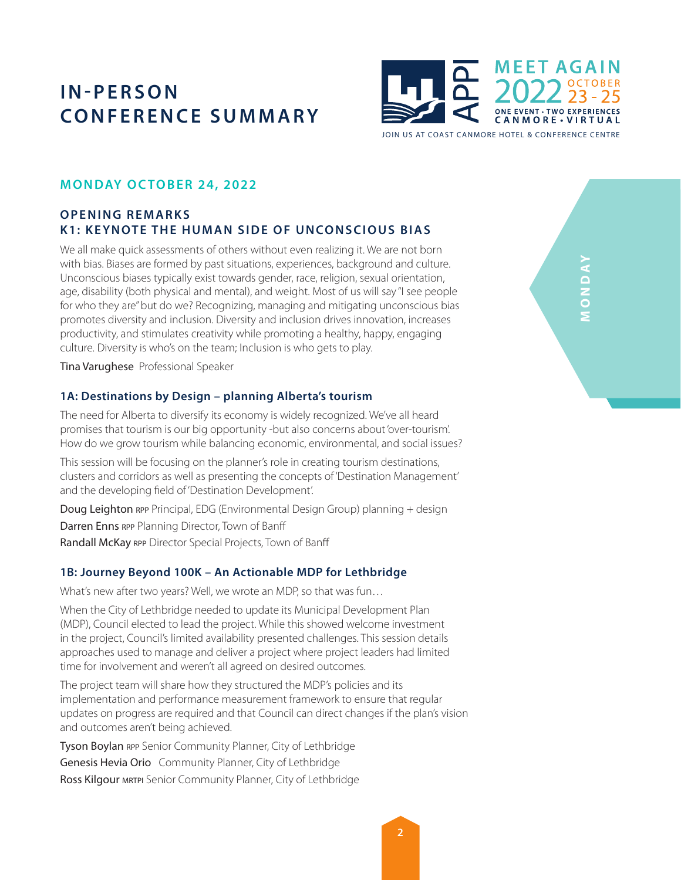

## **MONDAY OC TOBER 24, 2022**

## **OPENING REMARKS K1: KEYNOTE THE HUMAN SIDE OF UNCONSCIOUS BIAS**

We all make quick assessments of others without even realizing it. We are not born with bias. Biases are formed by past situations, experiences, background and culture. Unconscious biases typically exist towards gender, race, religion, sexual orientation, age, disability (both physical and mental), and weight. Most of us will say "I see people for who they are" but do we? Recognizing, managing and mitigating unconscious bias promotes diversity and inclusion. Diversity and inclusion drives innovation, increases productivity, and stimulates creativity while promoting a healthy, happy, engaging culture. Diversity is who's on the team; Inclusion is who gets to play.

Tina Varughese Professional Speaker

#### **1A: Destinations by Design – planning Alberta's tourism**

The need for Alberta to diversify its economy is widely recognized. We've all heard promises that tourism is our big opportunity -but also concerns about 'over-tourism'. How do we grow tourism while balancing economic, environmental, and social issues?

This session will be focusing on the planner's role in creating tourism destinations, clusters and corridors as well as presenting the concepts of 'Destination Management' and the developing field of 'Destination Development'.

Doug Leighton rpp Principal, EDG (Environmental Design Group) planning + design Darren Enns RPP Planning Director, Town of Banff Randall McKay RPP Director Special Projects, Town of Banff

#### **1B: Journey Beyond 100K – An Actionable MDP for Lethbridge**

What's new after two years? Well, we wrote an MDP, so that was fun…

When the City of Lethbridge needed to update its Municipal Development Plan (MDP), Council elected to lead the project. While this showed welcome investment in the project, Council's limited availability presented challenges. This session details approaches used to manage and deliver a project where project leaders had limited time for involvement and weren't all agreed on desired outcomes.

The project team will share how they structured the MDP's policies and its implementation and performance measurement framework to ensure that regular updates on progress are required and that Council can direct changes if the plan's vision and outcomes aren't being achieved.

Tyson Boylan RPP Senior Community Planner, City of Lethbridge Genesis Hevia Orio Community Planner, City of Lethbridge Ross Kilgour MRTPI Senior Community Planner, City of Lethbridge

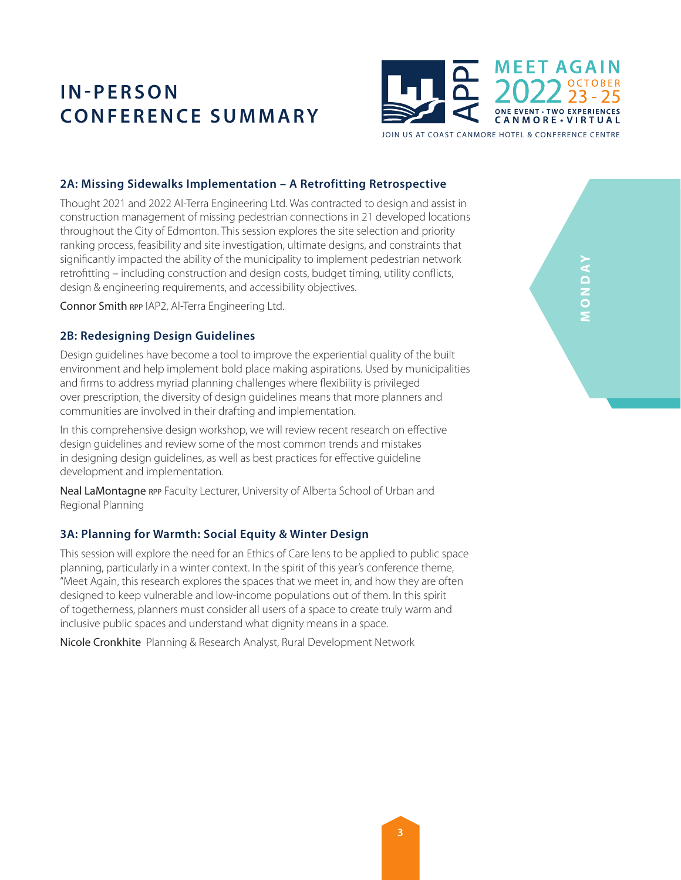

JOIN US AT COAST CANMORE HOTEL & CONFERENCE CENTRE

### **2A: Missing Sidewalks Implementation – A Retrofitting Retrospective**

Thought 2021 and 2022 Al-Terra Engineering Ltd. Was contracted to design and assist in construction management of missing pedestrian connections in 21 developed locations throughout the City of Edmonton. This session explores the site selection and priority ranking process, feasibility and site investigation, ultimate designs, and constraints that significantly impacted the ability of the municipality to implement pedestrian network retrofitting – including construction and design costs, budget timing, utility conflicts, design & engineering requirements, and accessibility objectives.

Connor Smith RPP IAP2, Al-Terra Engineering Ltd.

#### **2B: Redesigning Design Guidelines**

Design guidelines have become a tool to improve the experiential quality of the built environment and help implement bold place making aspirations. Used by municipalities and firms to address myriad planning challenges where flexibility is privileged over prescription, the diversity of design guidelines means that more planners and communities are involved in their drafting and implementation.

In this comprehensive design workshop, we will review recent research on effective design guidelines and review some of the most common trends and mistakes in designing design guidelines, as well as best practices for effective guideline development and implementation.

Neal LaMontagne RPP Faculty Lecturer, University of Alberta School of Urban and Regional Planning

#### **3A: Planning for Warmth: Social Equity & Winter Design**

This session will explore the need for an Ethics of Care lens to be applied to public space planning, particularly in a winter context. In the spirit of this year's conference theme, "Meet Again, this research explores the spaces that we meet in, and how they are often designed to keep vulnerable and low-income populations out of them. In this spirit of togetherness, planners must consider all users of a space to create truly warm and inclusive public spaces and understand what dignity means in a space.

Nicole Cronkhite Planning & Research Analyst, Rural Development Network

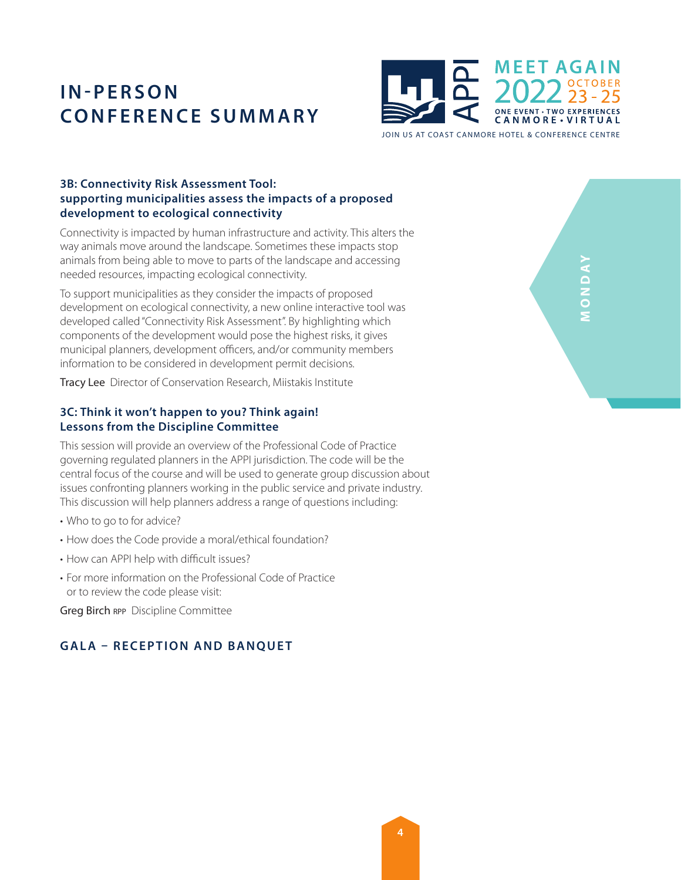

**3B: Connectivity Risk Assessment Tool: supporting municipalities assess the impacts of a proposed development to ecological connectivity**

Connectivity is impacted by human infrastructure and activity. This alters the way animals move around the landscape. Sometimes these impacts stop animals from being able to move to parts of the landscape and accessing needed resources, impacting ecological connectivity.

To support municipalities as they consider the impacts of proposed development on ecological connectivity, a new online interactive tool was developed called "Connectivity Risk Assessment". By highlighting which components of the development would pose the highest risks, it gives municipal planners, development officers, and/or community members information to be considered in development permit decisions.

Tracy Lee Director of Conservation Research, Miistakis Institute

### **3C: Think it won't happen to you? Think again! Lessons from the Discipline Committee**

This session will provide an overview of the Professional Code of Practice governing regulated planners in the APPI jurisdiction. The code will be the central focus of the course and will be used to generate group discussion about issues confronting planners working in the public service and private industry. This discussion will help planners address a range of questions including:

- Who to go to for advice?
- How does the Code provide a moral/ethical foundation?
- How can APPI help with difficult issues?
- For more information on the Professional Code of Practice or to review the code please visit:

Greg Birch RPP Discipline Committee

## **GALA – RECEPTION AND BANQUET**

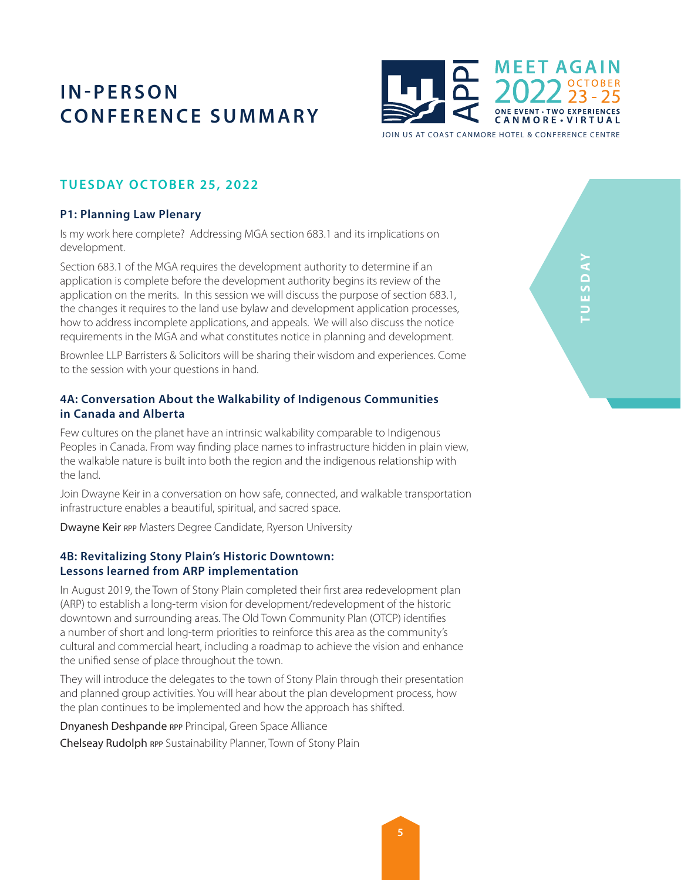

**TUESDAY OC TOBER 25, 2022**

## **P1: Planning Law Plenary**

Is my work here complete? Addressing MGA section 683.1 and its implications on development.

Section 683.1 of the MGA requires the development authority to determine if an application is complete before the development authority begins its review of the application on the merits. In this session we will discuss the purpose of section 683.1, the changes it requires to the land use bylaw and development application processes, how to address incomplete applications, and appeals. We will also discuss the notice requirements in the MGA and what constitutes notice in planning and development.

Brownlee LLP Barristers & Solicitors will be sharing their wisdom and experiences. Come to the session with your questions in hand.

## **4A: Conversation About the Walkability of Indigenous Communities in Canada and Alberta**

Few cultures on the planet have an intrinsic walkability comparable to Indigenous Peoples in Canada. From way finding place names to infrastructure hidden in plain view, the walkable nature is built into both the region and the indigenous relationship with the land.

Join Dwayne Keir in a conversation on how safe, connected, and walkable transportation infrastructure enables a beautiful, spiritual, and sacred space.

Dwayne Keir RPP Masters Degree Candidate, Ryerson University

### **4B: Revitalizing Stony Plain's Historic Downtown: Lessons learned from ARP implementation**

In August 2019, the Town of Stony Plain completed their first area redevelopment plan (ARP) to establish a long-term vision for development/redevelopment of the historic downtown and surrounding areas. The Old Town Community Plan (OTCP) identifies a number of short and long-term priorities to reinforce this area as the community's cultural and commercial heart, including a roadmap to achieve the vision and enhance the unified sense of place throughout the town.

They will introduce the delegates to the town of Stony Plain through their presentation and planned group activities. You will hear about the plan development process, how the plan continues to be implemented and how the approach has shifted.

Dnyanesh Deshpande rpp Principal, Green Space Alliance Chelseay Rudolph RPP Sustainability Planner, Town of Stony Plain

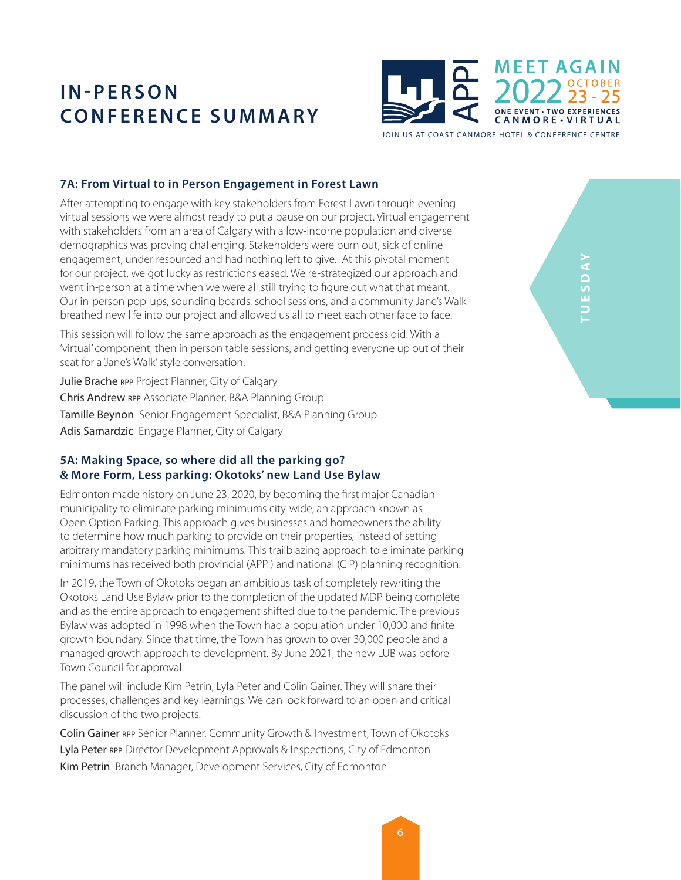

JOIN US AT COAST CANMORE HOTEL & CONFERENCE CENTRE

#### **7A: From Virtual to in Person Engagement in Forest Lawn**

After attempting to engage with key stakeholders from Forest Lawn through evening virtual sessions we were almost ready to put a pause on our project. Virtual engagement with stakeholders from an area of Calgary with a low-income population and diverse demographics was proving challenging. Stakeholders were burn out, sick of online engagement, under resourced and had nothing left to give. At this pivotal moment for our project, we got lucky as restrictions eased. We re-strategized our approach and went in-person at a time when we were all still trying to figure out what that meant. Our in-person pop-ups, sounding boards, school sessions, and a community Jane's Walk breathed new life into our project and allowed us all to meet each other face to face.

This session will follow the same approach as the engagement process did. With a 'virtual' component, then in person table sessions, and getting everyone up out of their seat for a 'Jane's Walk' style conversation.

Julie Brache RPP Project Planner, City of Calgary Chris Andrew rpp Associate Planner, B&A Planning Group Tamille Beynon Senior Engagement Specialist, B&A Planning Group Adis Samardzic Engage Planner, City of Calgary

#### **5A: Making Space, so where did all the parking go? & More Form, Less parking: Okotoks' new Land Use Bylaw**

Edmonton made history on June 23, 2020, by becoming the first major Canadian municipality to eliminate parking minimums city-wide, an approach known as Open Option Parking. This approach gives businesses and homeowners the ability to determine how much parking to provide on their properties, instead of setting arbitrary mandatory parking minimums. This trailblazing approach to eliminate parking minimums has received both provincial (APPI) and national (CIP) planning recognition.

In 2019, the Town of Okotoks began an ambitious task of completely rewriting the Okotoks Land Use Bylaw prior to the completion of the updated MDP being complete and as the entire approach to engagement shifted due to the pandemic. The previous Bylaw was adopted in 1998 when the Town had a population under 10,000 and finite growth boundary. Since that time, the Town has grown to over 30,000 people and a managed growth approach to development. By June 2021, the new LUB was before Town Council for approval.

The panel will include Kim Petrin, Lyla Peter and Colin Gainer. They will share their processes, challenges and key learnings. We can look forward to an open and critical discussion of the two projects.

Colin Gainer rpp Senior Planner, Community Growth & Investment, Town of Okotoks Lyla Peter RPP Director Development Approvals & Inspections, City of Edmonton Kim Petrin Branch Manager, Development Services, City of Edmonton